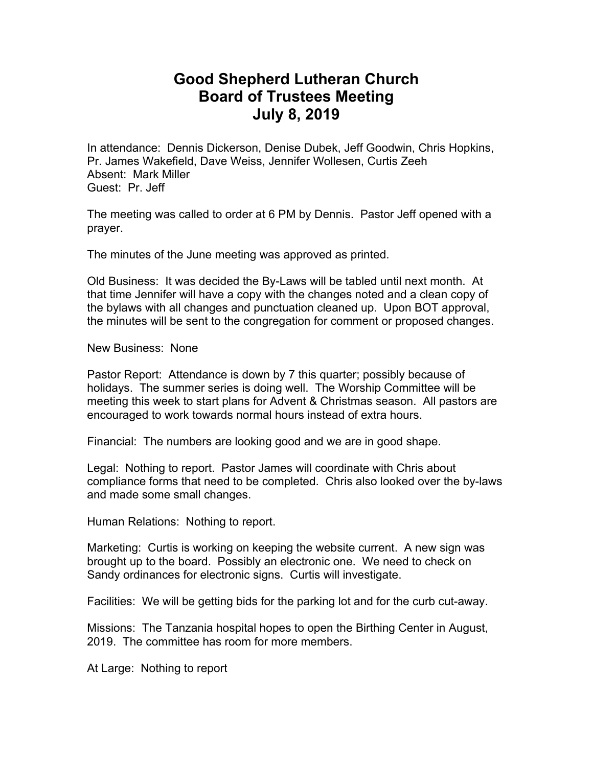## **Good Shepherd Lutheran Church Board of Trustees Meeting July 8, 2019**

In attendance: Dennis Dickerson, Denise Dubek, Jeff Goodwin, Chris Hopkins, Pr. James Wakefield, Dave Weiss, Jennifer Wollesen, Curtis Zeeh Absent: Mark Miller Guest: Pr. Jeff

The meeting was called to order at 6 PM by Dennis. Pastor Jeff opened with a prayer.

The minutes of the June meeting was approved as printed.

Old Business: It was decided the By-Laws will be tabled until next month. At that time Jennifer will have a copy with the changes noted and a clean copy of the bylaws with all changes and punctuation cleaned up. Upon BOT approval, the minutes will be sent to the congregation for comment or proposed changes.

New Business: None

Pastor Report: Attendance is down by 7 this quarter; possibly because of holidays. The summer series is doing well. The Worship Committee will be meeting this week to start plans for Advent & Christmas season. All pastors are encouraged to work towards normal hours instead of extra hours.

Financial: The numbers are looking good and we are in good shape.

Legal: Nothing to report. Pastor James will coordinate with Chris about compliance forms that need to be completed. Chris also looked over the by-laws and made some small changes.

Human Relations: Nothing to report.

Marketing: Curtis is working on keeping the website current. A new sign was brought up to the board. Possibly an electronic one. We need to check on Sandy ordinances for electronic signs. Curtis will investigate.

Facilities: We will be getting bids for the parking lot and for the curb cut-away.

Missions: The Tanzania hospital hopes to open the Birthing Center in August, 2019. The committee has room for more members.

At Large: Nothing to report